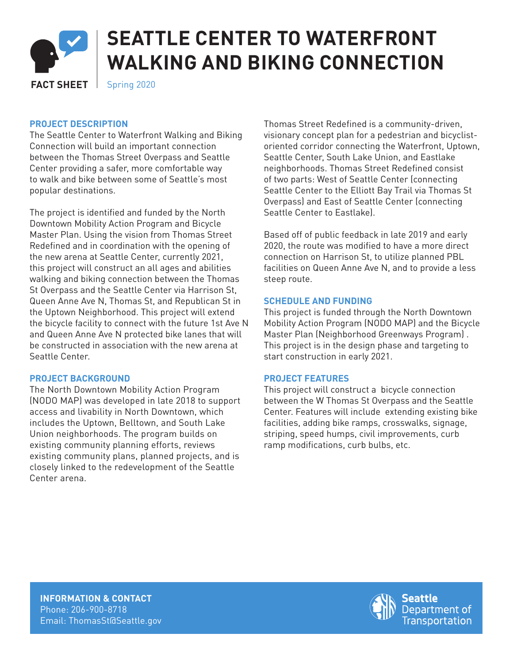

# **SEATTLE CENTER TO WATERFRONT WALKING AND BIKING CONNECTION**

**FACT SHEET** Spring 2020

# **PROJECT DESCRIPTION**

The Seattle Center to Waterfront Walking and Biking Connection will build an important connection between the Thomas Street Overpass and Seattle Center providing a safer, more comfortable way to walk and bike between some of Seattle's most popular destinations.

The project is identified and funded by the North Downtown Mobility Action Program and Bicycle Master Plan. Using the vision from Thomas Street Redefined and in coordination with the opening of the new arena at Seattle Center, currently 2021, this project will construct an all ages and abilities walking and biking connection between the Thomas St Overpass and the Seattle Center via Harrison St, Queen Anne Ave N, Thomas St, and Republican St in the Uptown Neighborhood. This project will extend the bicycle facility to connect with the future 1st Ave N and Queen Anne Ave N protected bike lanes that will be constructed in association with the new arena at Seattle Center.

# **PROJECT BACKGROUND**

The North Downtown Mobility Action Program (NODO MAP) was developed in late 2018 to support access and livability in North Downtown, which includes the Uptown, Belltown, and South Lake Union neighborhoods. The program builds on existing community planning efforts, reviews existing community plans, planned projects, and is closely linked to the redevelopment of the Seattle Center arena.

Thomas Street Redefined is a community-driven, visionary concept plan for a pedestrian and bicyclistoriented corridor connecting the Waterfront, Uptown, Seattle Center, South Lake Union, and Eastlake neighborhoods. Thomas Street Redefined consist of two parts: West of Seattle Center (connecting Seattle Center to the Elliott Bay Trail via Thomas St Overpass) and East of Seattle Center (connecting Seattle Center to Eastlake).

Based off of public feedback in late 2019 and early 2020, the route was modified to have a more direct connection on Harrison St, to utilize planned PBL facilities on Queen Anne Ave N, and to provide a less steep route.

#### **SCHEDULE AND FUNDING**

This project is funded through the North Downtown Mobility Action Program (NODO MAP) and the Bicycle Master Plan (Neighborhood Greenways Program) . This project is in the design phase and targeting to start construction in early 2021.

# **PROJECT FEATURES**

This project will construct a bicycle connection between the W Thomas St Overpass and the Seattle Center. Features will include extending existing bike facilities, adding bike ramps, crosswalks, signage, striping, speed humps, civil improvements, curb ramp modifications, curb bulbs, etc.